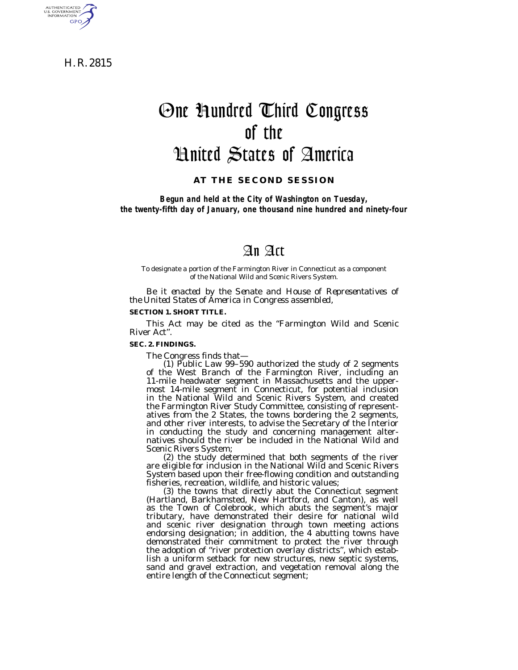H. R. 2815

AUTHENTICATED<br>U.S. GOVERNMENT<br>INFORMATION **GPO** 

# One Hundred Third Congress of the United States of America

# **AT THE SECOND SESSION**

*Begun and held at the City of Washington on Tuesday, the twenty-fifth day of January, one thousand nine hundred and ninety-four*

# An Act

To designate a portion of the Farmington River in Connecticut as a component of the National Wild and Scenic Rivers System.

*Be it enacted by the Senate and House of Representatives of the United States of America in Congress assembled,*

#### **SECTION 1. SHORT TITLE.**

This Act may be cited as the ''Farmington Wild and Scenic River Act''.

#### **SEC. 2. FINDINGS.**

The Congress finds that—

(1) Public Law 99–590 authorized the study of 2 segments of the West Branch of the Farmington River, including an 11-mile headwater segment in Massachusetts and the uppermost 14-mile segment in Connecticut, for potential inclusion in the National Wild and Scenic Rivers System, and created the Farmington River Study Committee, consisting of representatives from the 2 States, the towns bordering the 2 segments, and other river interests, to advise the Secretary of the Interior in conducting the study and concerning management alternatives should the river be included in the National Wild and Scenic Rivers System;

 $(2)$  the study determined that both segments of the river are eligible for inclusion in the National Wild and Scenic Rivers System based upon their free-flowing condition and outstanding fisheries, recreation, wildlife, and historic values;

(3) the towns that directly abut the Connecticut segment (Hartland, Barkhamsted, New Hartford, and Canton), as well as the Town of Colebrook, which abuts the segment's major tributary, have demonstrated their desire for national wild and scenic river designation through town meeting actions endorsing designation; in addition, the 4 abutting towns have demonstrated their commitment to protect the river through the adoption of ''river protection overlay districts'', which establish a uniform setback for new structures, new septic systems, sand and gravel extraction, and vegetation removal along the entire length of the Connecticut segment;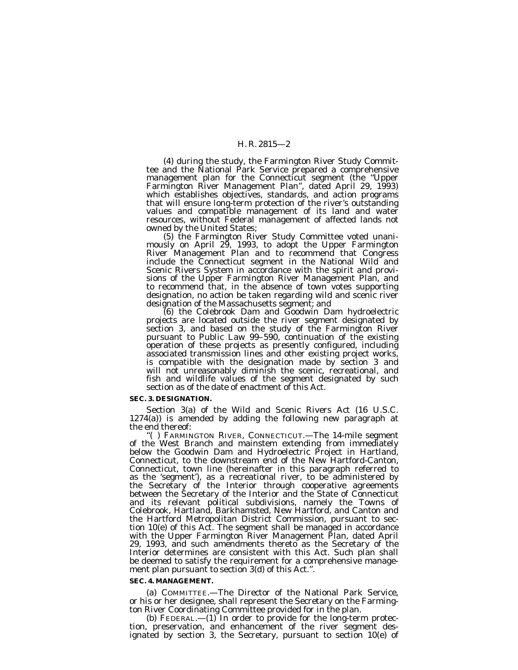# H. R. 2815—2

(4) during the study, the Farmington River Study Commit- tee and the National Park Service prepared a comprehensive management plan for the Connecticut segment (the ''Upper Farmington River Management Plan'', dated April 29, 1993) which establishes objectives, standards, and action programs that will ensure long-term protection of the river's outstanding values and compatible management of its land and water resources, without Federal management of affected lands not

owned by the United States; (5) the Farmington River Study Committee voted unani- mously on April 29, 1993, to adopt the Upper Farmington River Management Plan and to recommend that Congress include the Connecticut segment in the National Wild and Scenic Rivers System in accordance with the spirit and provisions of the Upper Farmington River Management Plan, and to recommend that, in the absence of town votes supporting designation, no action be taken regarding wild and scenic river

designation of the Massachusetts segment; and (6) the Colebrook Dam and Goodwin Dam hydroelectric projects are located outside the river segment designated by section 3, and based on the study of the Farmington River pursuant to Public Law 99–590, continuation of the existing operation of these projects as presently configured, including associated transmission lines and other existing project works, is compatible with the designation made by section 3 and will not unreasonably diminish the scenic, recreational, and fish and wildlife values of the segment designated by such section as of the date of enactment of this Act.

#### **SEC. 3. DESIGNATION.**

Section 3(a) of the Wild and Scenic Rivers Act (16 U.S.C. 1274(a)) is amended by adding the following new paragraph at the end thereof:<br>"() FARMINGTON RIVER, CONNECTICUT.—The 14-mile segment

of the West Branch and mainstem extending from immediately below the Goodwin Dam and Hydroelectric Project in Hartland, Connecticut, to the downstream end of the New Hartford-Canton, Connecticut, town line (hereinafter in this paragraph referred to as the 'segment'), as a recreational river, to be administered by the Secretary of the Interior through cooperative agreements between the Secretary of the Interior and the State of Connecticut and its relevant political subdivisions, namely the Towns of Colebrook, Hartland, Barkhamsted, New Hartford, and Canton and the Hartford Metropolitan District Commission, pursuant to section 10(e) of this Act. The segment shall be managed in accordance with the Upper Farmington River Management Plan, dated April 29, 1993, and such amendments thereto as the Secretary of the Interior determines are consistent with this Act. Such plan shall be deemed to satisfy the requirement for a comprehensive management plan pursuant to section 3(d) of this Act.''.

#### **SEC. 4. MANAGEMENT.**

(a) COMMITTEE.—The Director of the National Park Service, or his or her designee, shall represent the Secretary on the Farmington River Coordinating Committee provided for in the plan.

(b) FEDERAL.—(1) In order to provide for the long-term protection, preservation, and enhancement of the river segment designated by section 3, the Secretary, pursuant to section 10(e) of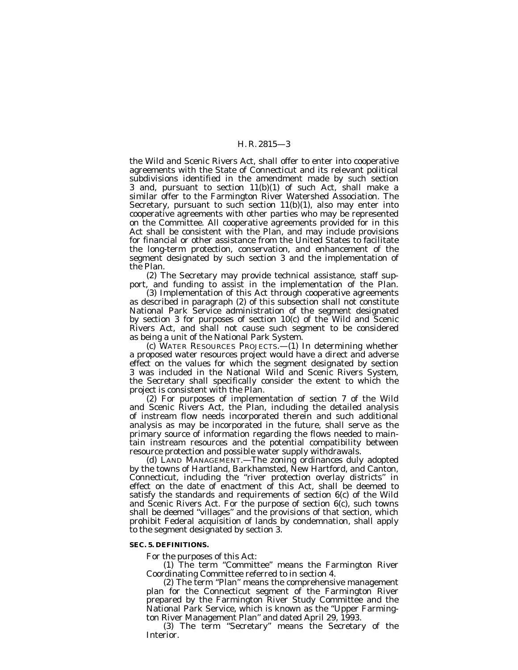#### H. R. 2815—3

the Wild and Scenic Rivers Act, shall offer to enter into cooperative agreements with the State of Connecticut and its relevant political subdivisions identified in the amendment made by such section 3 and, pursuant to section 11(b)(1) of such Act, shall make a similar offer to the Farmington River Watershed Association. The Secretary, pursuant to such section  $11(b)(1)$ , also may enter into cooperative agreements with other parties who may be represented on the Committee. All cooperative agreements provided for in this Act shall be consistent with the Plan, and may include provisions for financial or other assistance from the United States to facilitate the long-term protection, conservation, and enhancement of the segment designated by such section 3 and the implementation of the Plan.

(2) The Secretary may provide technical assistance, staff support, and funding to assist in the implementation of the Plan.

(3) Implementation of this Act through cooperative agreements as described in paragraph (2) of this subsection shall not constitute National Park Service administration of the segment designated by section 3 for purposes of section 10(c) of the Wild and Scenic Rivers Act, and shall not cause such segment to be considered as being a unit of the National Park System.

(c) WATER RESOURCES PROJECTS.—(1) In determining whether a proposed water resources project would have a direct and adverse effect on the values for which the segment designated by section 3 was included in the National Wild and Scenic Rivers System, the Secretary shall specifically consider the extent to which the project is consistent with the Plan.

(2) For purposes of implementation of section 7 of the Wild and Scenic Rivers Act, the Plan, including the detailed analysis of instream flow needs incorporated therein and such additional analysis as may be incorporated in the future, shall serve as the primary source of information regarding the flows needed to maintain instream resources and the potential compatibility between resource protection and possible water supply withdrawals.

(d) LAND MANAGEMENT.—The zoning ordinances duly adopted by the towns of Hartland, Barkhamsted, New Hartford, and Canton, Connecticut, including the ''river protection overlay districts'' in effect on the date of enactment of this Act, shall be deemed to satisfy the standards and requirements of section 6(c) of the Wild and Scenic Rivers Act. For the purpose of section 6(c), such towns shall be deemed ''villages'' and the provisions of that section, which prohibit Federal acquisition of lands by condemnation, shall apply to the segment designated by section 3.

# **SEC. 5. DEFINITIONS.**

For the purposes of this Act:

(1) The term ''Committee'' means the Farmington River Coordinating Committee referred to in section 4.

(2) The term ''Plan'' means the comprehensive management plan for the Connecticut segment of the Farmington River prepared by the Farmington River Study Committee and the National Park Service, which is known as the ''Upper Farmington River Management Plan'' and dated April 29, 1993.

(3) The term ''Secretary'' means the Secretary of the Interior.